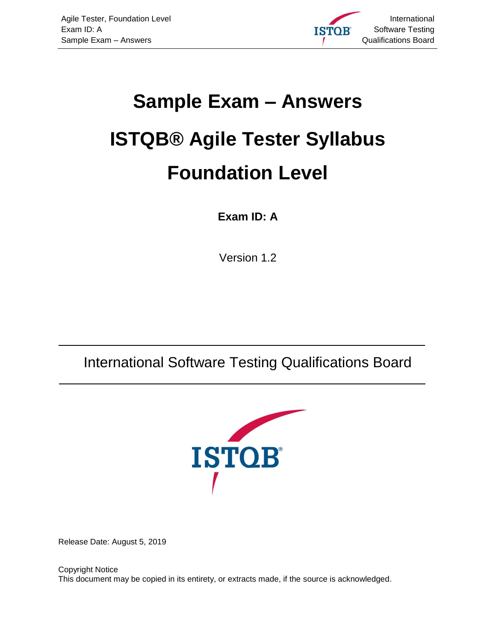

# **Sample Exam – Answers ISTQB® Agile Tester Syllabus Foundation Level**

#### **Exam ID: A**

Version 1.2

<span id="page-0-1"></span>International Software Testing Qualifications Board



<span id="page-0-0"></span>Release Date: August 5, 2019

Copyright Notice This document may be copied in its entirety, or extracts made, if the source is acknowledged.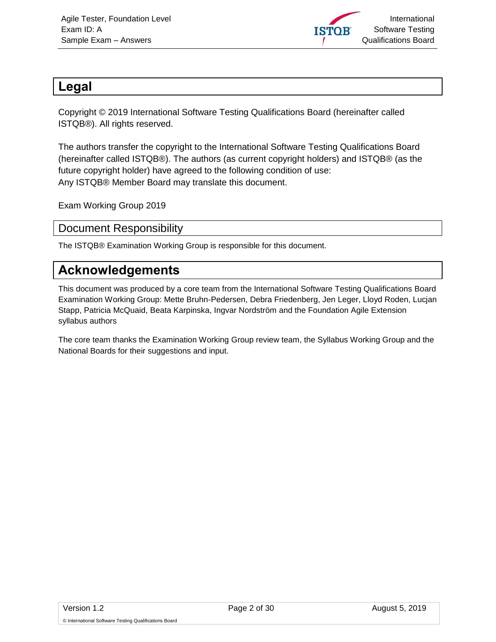

#### <span id="page-1-0"></span>**Legal**

Copyright © 2019 International Software Testing Qualifications Board (hereinafter called ISTQB®). All rights reserved.

The authors transfer the copyright to the International Software Testing Qualifications Board (hereinafter called ISTQB®). The authors (as current copyright holders) and ISTQB® (as the future copyright holder) have agreed to the following condition of use: Any ISTQB® Member Board may translate this document.

Exam Working Group 2019

#### <span id="page-1-1"></span>Document Responsibility

The ISTQB® Examination Working Group is responsible for this document.

#### <span id="page-1-2"></span>**Acknowledgements**

This document was produced by a core team from the International Software Testing Qualifications Board Examination Working Group: Mette Bruhn-Pedersen, Debra Friedenberg, Jen Leger, Lloyd Roden, Lucjan Stapp, Patricia McQuaid, Beata Karpinska, Ingvar Nordström and the Foundation Agile Extension syllabus authors

The core team thanks the Examination Working Group review team, the Syllabus Working Group and the National Boards for their suggestions and input.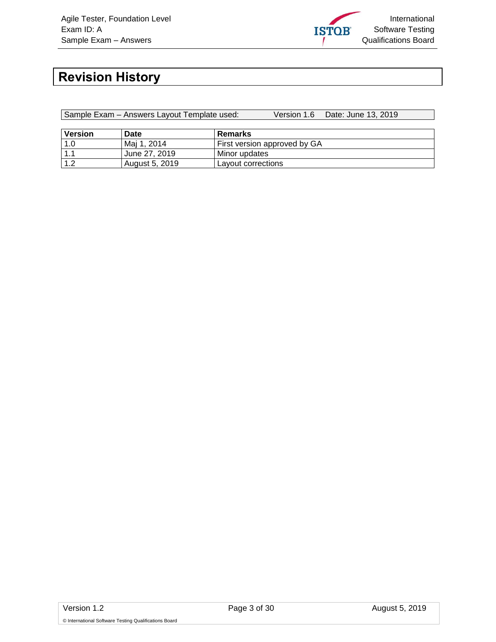

## <span id="page-2-0"></span>**Revision History**

Sample Exam – Answers Layout Template used: Version 1.6 Date: June 13, 2019

| <b>Version</b> | Date           | Remarks                      |
|----------------|----------------|------------------------------|
| $1.0$          | Mai 1, 2014    | First version approved by GA |
| $\sim$         | June 27, 2019  | Minor updates                |
| $\sqrt{1}$     | August 5, 2019 | Layout corrections           |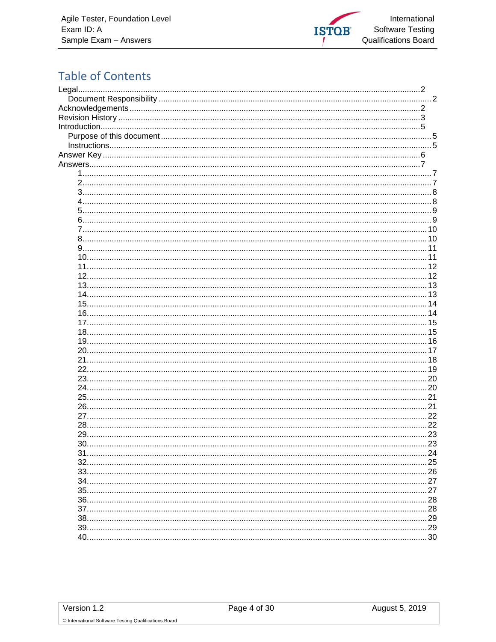

### **Table of Contents**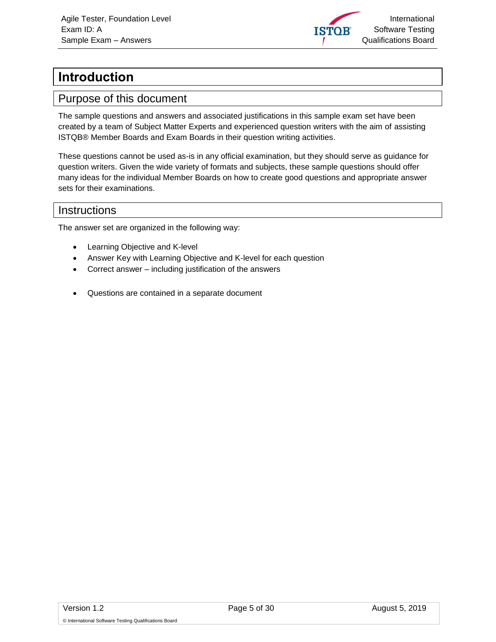

## <span id="page-4-0"></span>**Introduction**

#### <span id="page-4-1"></span>Purpose of this document

The sample questions and answers and associated justifications in this sample exam set have been created by a team of Subject Matter Experts and experienced question writers with the aim of assisting ISTQB® Member Boards and Exam Boards in their question writing activities.

These questions cannot be used as-is in any official examination, but they should serve as guidance for question writers. Given the wide variety of formats and subjects, these sample questions should offer many ideas for the individual Member Boards on how to create good questions and appropriate answer sets for their examinations.

#### <span id="page-4-2"></span>**Instructions**

The answer set are organized in the following way:

- Learning Objective and K-level
- Answer Key with Learning Objective and K-level for each question
- Correct answer including justification of the answers
- Questions are contained in a separate document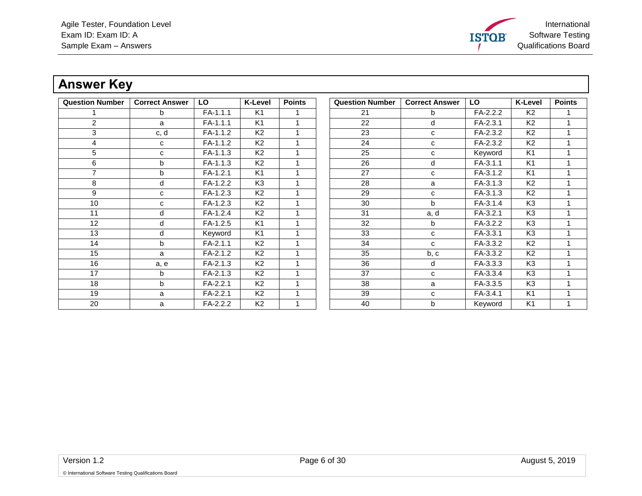

## **Answer Key**

<span id="page-5-0"></span>

| <b>Question Number</b> | <b>Correct Answer</b> | LO         | <b>K-Level</b> | <b>Points</b> | <b>Question Number</b> | <b>Correct Answer</b> | LO       | <b>K-Level</b> | <b>Points</b> |
|------------------------|-----------------------|------------|----------------|---------------|------------------------|-----------------------|----------|----------------|---------------|
|                        | b                     | $FA-1.1.1$ | K <sub>1</sub> |               | 21                     | b                     | FA-2.2.2 | K <sub>2</sub> |               |
| $\overline{2}$         | a                     | FA-1.1.1   | K <sub>1</sub> |               | 22                     | d                     | FA-2.3.1 | K <sub>2</sub> |               |
| 3                      | c, d                  | FA-1.1.2   | K <sub>2</sub> |               | 23                     | C                     | FA-2.3.2 | K <sub>2</sub> |               |
| 4                      | C                     | FA-1.1.2   | K <sub>2</sub> |               | 24                     | C                     | FA-2.3.2 | K <sub>2</sub> |               |
| 5                      | C                     | FA-1.1.3   | K <sub>2</sub> |               | 25                     | C                     | Keyword  | K <sub>1</sub> |               |
| 6                      | b                     | FA-1.1.3   | K <sub>2</sub> |               | 26                     | d                     | FA-3.1.1 | K <sub>1</sub> |               |
| $\overline{7}$         | b                     | FA-1.2.1   | K <sub>1</sub> |               | 27                     | C                     | FA-3.1.2 | K <sub>1</sub> |               |
| 8                      | d                     | FA-1.2.2   | K <sub>3</sub> |               | 28                     | a                     | FA-3.1.3 | K <sub>2</sub> |               |
| 9                      | C                     | FA-1.2.3   | K <sub>2</sub> |               | 29                     | C                     | FA-3.1.3 | K <sub>2</sub> |               |
| 10                     | с                     | FA-1.2.3   | K <sub>2</sub> |               | 30                     | b                     | FA-3.1.4 | K <sub>3</sub> |               |
| 11                     | d                     | FA-1.2.4   | K <sub>2</sub> |               | 31                     | a, d                  | FA-3.2.1 | K <sub>3</sub> |               |
| 12                     | d                     | FA-1.2.5   | K <sub>1</sub> |               | 32                     | b                     | FA-3.2.2 | K <sub>3</sub> |               |
| 13                     | d                     | Keyword    | K <sub>1</sub> |               | 33                     | c                     | FA-3.3.1 | K <sub>3</sub> |               |
| 14                     | b                     | FA-2.1.1   | K <sub>2</sub> |               | 34                     | C                     | FA-3.3.2 | K <sub>2</sub> |               |
| 15                     | a                     | FA-2.1.2   | K <sub>2</sub> |               | 35                     | b, c                  | FA-3.3.2 | K <sub>2</sub> |               |
| 16                     | a, e                  | FA-2.1.3   | K <sub>2</sub> |               | 36                     | d                     | FA-3.3.3 | K <sub>3</sub> |               |
| 17                     | b                     | FA-2.1.3   | K <sub>2</sub> |               | 37                     | C                     | FA-3.3.4 | K <sub>3</sub> |               |
| 18                     | b                     | FA-2.2.1   | K <sub>2</sub> |               | 38                     | a                     | FA-3.3.5 | K <sub>3</sub> |               |
| 19                     | a                     | FA-2.2.1   | K <sub>2</sub> |               | 39                     | с                     | FA-3.4.1 | K <sub>1</sub> |               |
| 20                     | a                     | FA-2.2.2   | K <sub>2</sub> |               | 40                     | b                     | Keyword  | K <sub>1</sub> |               |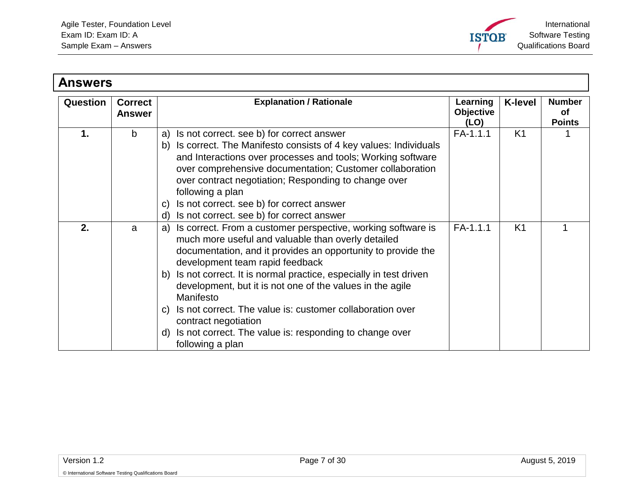

<span id="page-6-2"></span><span id="page-6-1"></span><span id="page-6-0"></span>

| <b>Answers</b>  |                                 |                                                                                                                                                                                                                                                                                                                                                                                                                                                                                                                                                        |                                      |                |                                             |
|-----------------|---------------------------------|--------------------------------------------------------------------------------------------------------------------------------------------------------------------------------------------------------------------------------------------------------------------------------------------------------------------------------------------------------------------------------------------------------------------------------------------------------------------------------------------------------------------------------------------------------|--------------------------------------|----------------|---------------------------------------------|
| <b>Question</b> | <b>Correct</b><br><b>Answer</b> | <b>Explanation / Rationale</b>                                                                                                                                                                                                                                                                                                                                                                                                                                                                                                                         | Learning<br><b>Objective</b><br>(LO) | <b>K-level</b> | <b>Number</b><br><b>of</b><br><b>Points</b> |
| 1.              | b                               | Is not correct. see b) for correct answer<br>a)<br>b) Is correct. The Manifesto consists of 4 key values: Individuals<br>and Interactions over processes and tools; Working software<br>over comprehensive documentation; Customer collaboration<br>over contract negotiation; Responding to change over<br>following a plan<br>Is not correct. see b) for correct answer<br>C)<br>Is not correct. see b) for correct answer<br>d)                                                                                                                     | FA-1.1.1                             | K <sub>1</sub> |                                             |
| 2.              | a                               | a) Is correct. From a customer perspective, working software is<br>much more useful and valuable than overly detailed<br>documentation, and it provides an opportunity to provide the<br>development team rapid feedback<br>b) Is not correct. It is normal practice, especially in test driven<br>development, but it is not one of the values in the agile<br>Manifesto<br>Is not correct. The value is: customer collaboration over<br>C)<br>contract negotiation<br>d) Is not correct. The value is: responding to change over<br>following a plan | FA-1.1.1                             | K <sub>1</sub> |                                             |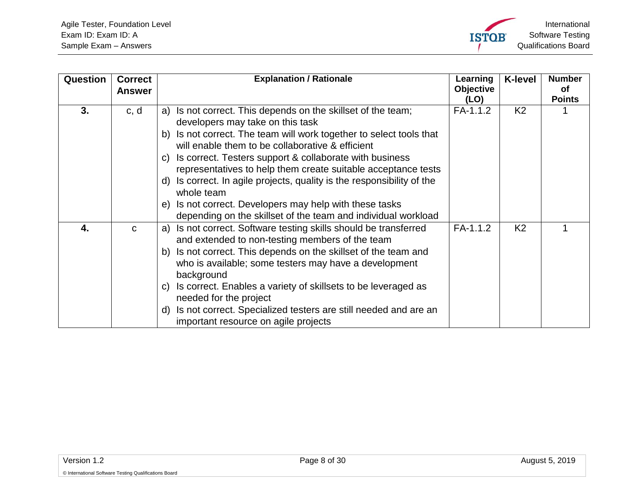<span id="page-7-1"></span><span id="page-7-0"></span>

| Question | <b>Correct</b><br><b>Answer</b> | <b>Explanation / Rationale</b>                                                                                                                                                                                                                                                                                                                                                                                                                                                                                                                                                                | Learning<br><b>Objective</b><br>(LO) | <b>K-level</b> | <b>Number</b><br>οf<br><b>Points</b> |
|----------|---------------------------------|-----------------------------------------------------------------------------------------------------------------------------------------------------------------------------------------------------------------------------------------------------------------------------------------------------------------------------------------------------------------------------------------------------------------------------------------------------------------------------------------------------------------------------------------------------------------------------------------------|--------------------------------------|----------------|--------------------------------------|
| 3.       | c, d                            | Is not correct. This depends on the skillset of the team;<br>a)<br>developers may take on this task<br>Is not correct. The team will work together to select tools that<br>b)<br>will enable them to be collaborative & efficient<br>Is correct. Testers support & collaborate with business<br>C)<br>representatives to help them create suitable acceptance tests<br>Is correct. In agile projects, quality is the responsibility of the<br>d)<br>whole team<br>Is not correct. Developers may help with these tasks<br>e)<br>depending on the skillset of the team and individual workload | FA-1.1.2                             | K <sub>2</sub> |                                      |
| 4.       | $\mathbf{C}$                    | Is not correct. Software testing skills should be transferred<br>a)<br>and extended to non-testing members of the team<br>Is not correct. This depends on the skillset of the team and<br>b)<br>who is available; some testers may have a development<br>background<br>Is correct. Enables a variety of skillsets to be leveraged as<br>$\mathsf{C}$<br>needed for the project<br>Is not correct. Specialized testers are still needed and are an<br>d)<br>important resource on agile projects                                                                                               | FA-1.1.2                             | K <sub>2</sub> |                                      |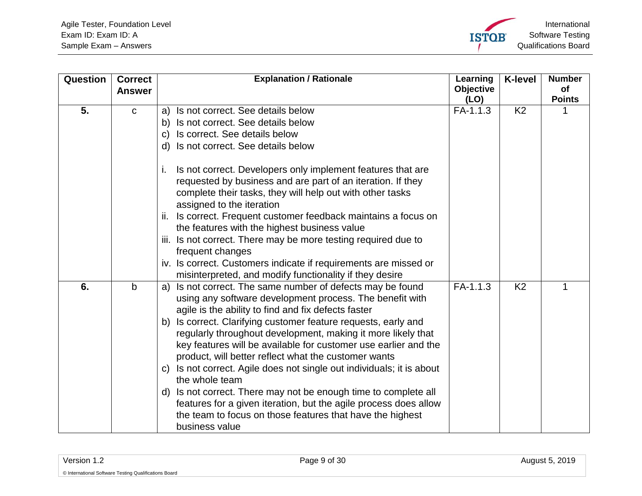<span id="page-8-1"></span><span id="page-8-0"></span>

| Question | <b>Correct</b> | <b>Explanation / Rationale</b>                                           | Learning           | <b>K-level</b> | <b>Number</b> |
|----------|----------------|--------------------------------------------------------------------------|--------------------|----------------|---------------|
|          | <b>Answer</b>  |                                                                          | Objective          |                | of            |
| 5.       | $\mathbf C$    | Is not correct. See details below<br>a)                                  | (LO)<br>$FA-1.1.3$ | K <sub>2</sub> | <b>Points</b> |
|          |                | Is not correct. See details below<br>b)                                  |                    |                |               |
|          |                | Is correct. See details below<br>C)                                      |                    |                |               |
|          |                | Is not correct. See details below<br>d)                                  |                    |                |               |
|          |                |                                                                          |                    |                |               |
|          |                | Is not correct. Developers only implement features that are<br>Τ.        |                    |                |               |
|          |                | requested by business and are part of an iteration. If they              |                    |                |               |
|          |                | complete their tasks, they will help out with other tasks                |                    |                |               |
|          |                | assigned to the iteration                                                |                    |                |               |
|          |                | Is correct. Frequent customer feedback maintains a focus on<br>ii.       |                    |                |               |
|          |                | the features with the highest business value                             |                    |                |               |
|          |                | iii. Is not correct. There may be more testing required due to           |                    |                |               |
|          |                | frequent changes                                                         |                    |                |               |
|          |                | iv. Is correct. Customers indicate if requirements are missed or         |                    |                |               |
|          |                | misinterpreted, and modify functionality if they desire                  |                    |                |               |
| 6.       | $\mathbf b$    | Is not correct. The same number of defects may be found<br>a)            | $FA-1.1.3$         | K <sub>2</sub> | 1             |
|          |                | using any software development process. The benefit with                 |                    |                |               |
|          |                | agile is the ability to find and fix defects faster                      |                    |                |               |
|          |                | b) Is correct. Clarifying customer feature requests, early and           |                    |                |               |
|          |                | regularly throughout development, making it more likely that             |                    |                |               |
|          |                | key features will be available for customer use earlier and the          |                    |                |               |
|          |                | product, will better reflect what the customer wants                     |                    |                |               |
|          |                | Is not correct. Agile does not single out individuals; it is about<br>C) |                    |                |               |
|          |                | the whole team                                                           |                    |                |               |
|          |                | Is not correct. There may not be enough time to complete all<br>d)       |                    |                |               |
|          |                | features for a given iteration, but the agile process does allow         |                    |                |               |
|          |                | the team to focus on those features that have the highest                |                    |                |               |
|          |                | business value                                                           |                    |                |               |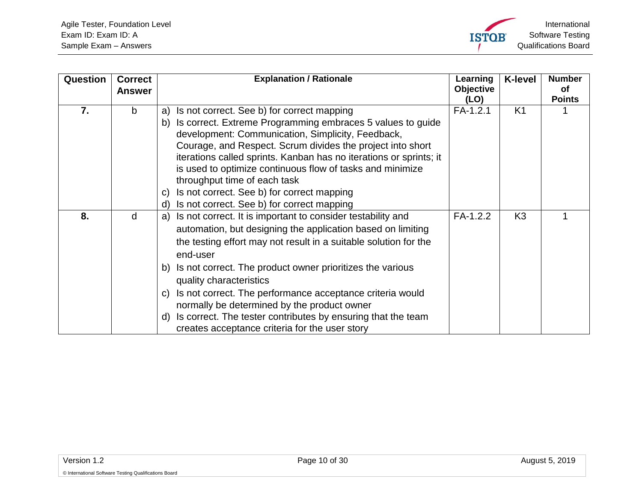<span id="page-9-1"></span><span id="page-9-0"></span>

| Question | <b>Correct</b><br><b>Answer</b> | <b>Explanation / Rationale</b>                                                                                                                                                                                                                                                                                                                                                                                                          | Learning<br>Objective<br>(LO) | <b>K-level</b> | <b>Number</b><br>οf<br><b>Points</b> |
|----------|---------------------------------|-----------------------------------------------------------------------------------------------------------------------------------------------------------------------------------------------------------------------------------------------------------------------------------------------------------------------------------------------------------------------------------------------------------------------------------------|-------------------------------|----------------|--------------------------------------|
| 7.       | b                               | Is not correct. See b) for correct mapping<br>a)<br>Is correct. Extreme Programming embraces 5 values to guide<br>b)<br>development: Communication, Simplicity, Feedback,<br>Courage, and Respect. Scrum divides the project into short<br>iterations called sprints. Kanban has no iterations or sprints; it<br>is used to optimize continuous flow of tasks and minimize<br>throughput time of each task                              | $FA-1.2.1$                    | K <sub>1</sub> |                                      |
|          |                                 | Is not correct. See b) for correct mapping<br>$\mathsf{C}$<br>Is not correct. See b) for correct mapping<br>d)                                                                                                                                                                                                                                                                                                                          |                               |                |                                      |
| 8.       | d                               | Is not correct. It is important to consider testability and<br>a)<br>automation, but designing the application based on limiting<br>the testing effort may not result in a suitable solution for the<br>end-user<br>b) Is not correct. The product owner prioritizes the various<br>quality characteristics<br>Is not correct. The performance acceptance criteria would<br>$\mathsf{C}$<br>normally be determined by the product owner | FA-1.2.2                      | K <sub>3</sub> |                                      |
|          |                                 | Is correct. The tester contributes by ensuring that the team<br>d)<br>creates acceptance criteria for the user story                                                                                                                                                                                                                                                                                                                    |                               |                |                                      |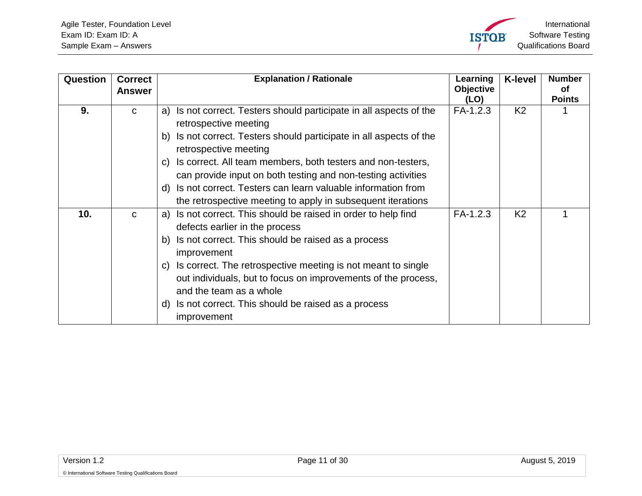<span id="page-10-1"></span><span id="page-10-0"></span>

| Question        | <b>Correct</b><br><b>Answer</b> | <b>Explanation / Rationale</b>                                                                                                                                                                                                                                                                                                                                                                                                        | Learning<br><b>Objective</b><br>(LO) | <b>K-level</b> | <b>Number</b><br>Οf<br><b>Points</b> |
|-----------------|---------------------------------|---------------------------------------------------------------------------------------------------------------------------------------------------------------------------------------------------------------------------------------------------------------------------------------------------------------------------------------------------------------------------------------------------------------------------------------|--------------------------------------|----------------|--------------------------------------|
| 9.              | $\mathbf{C}$                    | Is not correct. Testers should participate in all aspects of the<br>a)<br>retrospective meeting<br>Is not correct. Testers should participate in all aspects of the<br>b)<br>retrospective meeting<br>Is correct. All team members, both testers and non-testers,<br>C)<br>can provide input on both testing and non-testing activities<br>Is not correct. Testers can learn valuable information from<br>d)                          | FA-1.2.3                             | K <sub>2</sub> |                                      |
|                 |                                 | the retrospective meeting to apply in subsequent iterations                                                                                                                                                                                                                                                                                                                                                                           |                                      |                |                                      |
| 10 <sub>1</sub> | $\mathbf{C}$                    | Is not correct. This should be raised in order to help find<br>a)<br>defects earlier in the process<br>Is not correct. This should be raised as a process<br>b)<br>improvement<br>Is correct. The retrospective meeting is not meant to single<br>$\mathsf{C}$<br>out individuals, but to focus on improvements of the process,<br>and the team as a whole<br>Is not correct. This should be raised as a process<br>d)<br>improvement | $FA-1.2.3$                           | K <sub>2</sub> |                                      |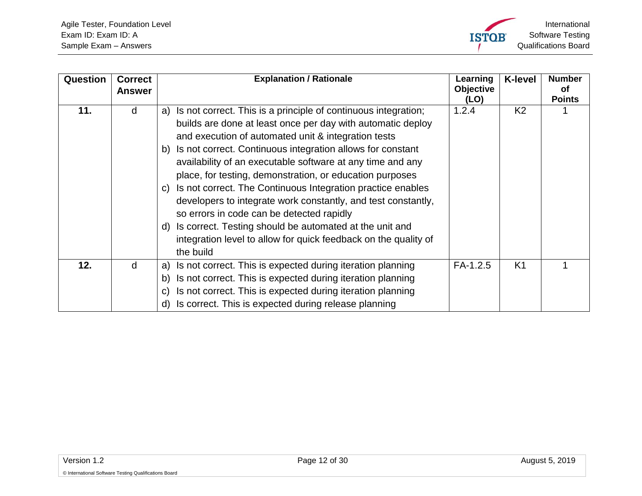<span id="page-11-1"></span><span id="page-11-0"></span>

| Question | <b>Correct</b><br><b>Answer</b> | <b>Explanation / Rationale</b>                                                                                                                                                                                                                                                                                                                                                                                                                                                                                                                                                                                                                                                                                               | Learning<br><b>Objective</b><br>(LO) | <b>K-level</b> | <b>Number</b><br>Οf<br><b>Points</b> |
|----------|---------------------------------|------------------------------------------------------------------------------------------------------------------------------------------------------------------------------------------------------------------------------------------------------------------------------------------------------------------------------------------------------------------------------------------------------------------------------------------------------------------------------------------------------------------------------------------------------------------------------------------------------------------------------------------------------------------------------------------------------------------------------|--------------------------------------|----------------|--------------------------------------|
| 11.      | d                               | Is not correct. This is a principle of continuous integration;<br>a)<br>builds are done at least once per day with automatic deploy<br>and execution of automated unit & integration tests<br>Is not correct. Continuous integration allows for constant<br>b)<br>availability of an executable software at any time and any<br>place, for testing, demonstration, or education purposes<br>Is not correct. The Continuous Integration practice enables<br>C)<br>developers to integrate work constantly, and test constantly,<br>so errors in code can be detected rapidly<br>Is correct. Testing should be automated at the unit and<br>d)<br>integration level to allow for quick feedback on the quality of<br>the build | 1.2.4                                | K <sub>2</sub> |                                      |
| 12.      | d                               | Is not correct. This is expected during iteration planning<br>a)<br>Is not correct. This is expected during iteration planning<br>b)                                                                                                                                                                                                                                                                                                                                                                                                                                                                                                                                                                                         | $FA-1.2.5$                           | K <sub>1</sub> |                                      |
|          |                                 | Is not correct. This is expected during iteration planning<br>C)<br>Is correct. This is expected during release planning<br>d)                                                                                                                                                                                                                                                                                                                                                                                                                                                                                                                                                                                               |                                      |                |                                      |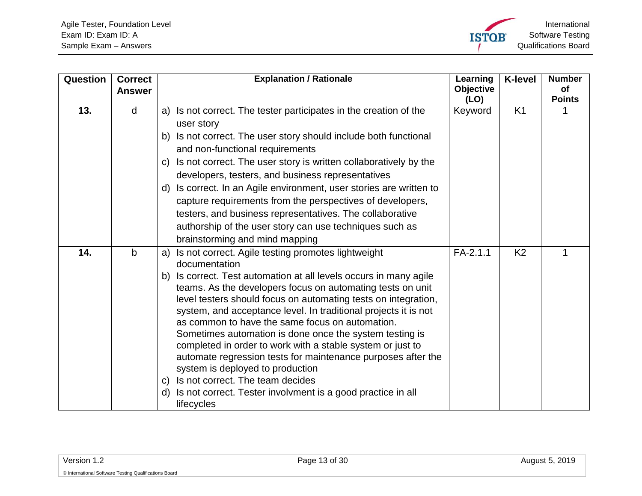<span id="page-12-1"></span><span id="page-12-0"></span>

| Question | <b>Correct</b><br><b>Answer</b> | <b>Explanation / Rationale</b>                                                                                                                                                                                                                                                                                                                                                                                                                                                                                                                                                                                                                                                                                                                                              | Learning<br><b>Objective</b> | <b>K-level</b> | <b>Number</b><br>of |
|----------|---------------------------------|-----------------------------------------------------------------------------------------------------------------------------------------------------------------------------------------------------------------------------------------------------------------------------------------------------------------------------------------------------------------------------------------------------------------------------------------------------------------------------------------------------------------------------------------------------------------------------------------------------------------------------------------------------------------------------------------------------------------------------------------------------------------------------|------------------------------|----------------|---------------------|
| 13.      | d                               | Is not correct. The tester participates in the creation of the<br>a)<br>user story<br>Is not correct. The user story should include both functional<br>b)<br>and non-functional requirements<br>Is not correct. The user story is written collaboratively by the<br>C)<br>developers, testers, and business representatives<br>Is correct. In an Agile environment, user stories are written to<br>d)<br>capture requirements from the perspectives of developers,                                                                                                                                                                                                                                                                                                          | (LO)<br>Keyword              | K <sub>1</sub> | <b>Points</b>       |
|          |                                 | testers, and business representatives. The collaborative<br>authorship of the user story can use techniques such as<br>brainstorming and mind mapping                                                                                                                                                                                                                                                                                                                                                                                                                                                                                                                                                                                                                       |                              |                |                     |
| 14.      | b                               | Is not correct. Agile testing promotes lightweight<br>a)<br>documentation<br>Is correct. Test automation at all levels occurs in many agile<br>b)<br>teams. As the developers focus on automating tests on unit<br>level testers should focus on automating tests on integration,<br>system, and acceptance level. In traditional projects it is not<br>as common to have the same focus on automation.<br>Sometimes automation is done once the system testing is<br>completed in order to work with a stable system or just to<br>automate regression tests for maintenance purposes after the<br>system is deployed to production<br>Is not correct. The team decides<br>$\mathsf{C}$<br>Is not correct. Tester involvment is a good practice in all<br>d)<br>lifecycles | $FA-2.1.1$                   | K <sub>2</sub> |                     |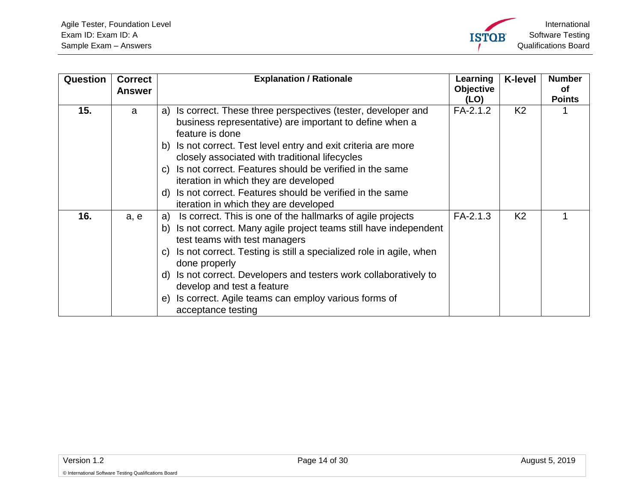<span id="page-13-1"></span><span id="page-13-0"></span>

| Question | <b>Correct</b><br><b>Answer</b> | <b>Explanation / Rationale</b>                                                                                                                                                                                                                                                                                                                                                                                                                                                             | Learning<br><b>Objective</b><br>(LO) | <b>K-level</b> | <b>Number</b><br><b>of</b><br><b>Points</b> |
|----------|---------------------------------|--------------------------------------------------------------------------------------------------------------------------------------------------------------------------------------------------------------------------------------------------------------------------------------------------------------------------------------------------------------------------------------------------------------------------------------------------------------------------------------------|--------------------------------------|----------------|---------------------------------------------|
| 15.      | a                               | Is correct. These three perspectives (tester, developer and<br>a)<br>business representative) are important to define when a<br>feature is done<br>Is not correct. Test level entry and exit criteria are more<br>b)<br>closely associated with traditional lifecycles<br>Is not correct. Features should be verified in the same<br>C)<br>iteration in which they are developed<br>Is not correct. Features should be verified in the same<br>d)<br>iteration in which they are developed | $FA-2.1.2$                           | K <sub>2</sub> |                                             |
| 16.      | a, e                            | Is correct. This is one of the hallmarks of agile projects<br>a)<br>Is not correct. Many agile project teams still have independent<br>b)<br>test teams with test managers<br>Is not correct. Testing is still a specialized role in agile, when<br>C)<br>done properly<br>Is not correct. Developers and testers work collaboratively to<br>d)<br>develop and test a feature<br>Is correct. Agile teams can employ various forms of<br>e)<br>acceptance testing                           | $FA-2.1.3$                           | K <sub>2</sub> |                                             |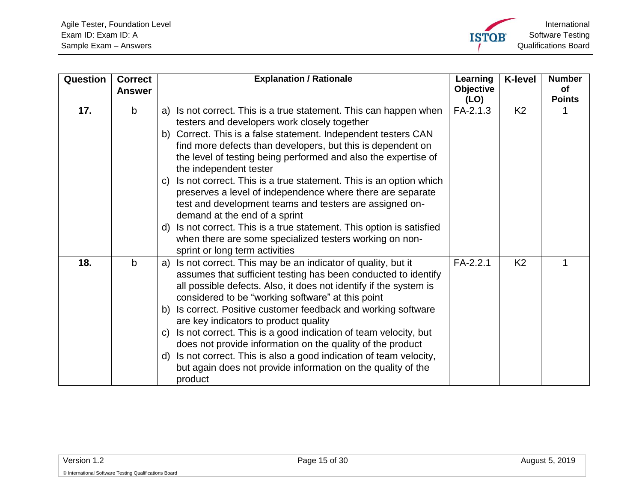<span id="page-14-1"></span><span id="page-14-0"></span>

| Question | <b>Correct</b><br><b>Answer</b> | <b>Explanation / Rationale</b>                                                                                                                                                                                                                                                                                                                                                                                                                                                                                                                                                                                                                                                                                                                                               | Learning<br><b>Objective</b><br>(LO) | <b>K-level</b> | <b>Number</b><br><b>of</b><br><b>Points</b> |
|----------|---------------------------------|------------------------------------------------------------------------------------------------------------------------------------------------------------------------------------------------------------------------------------------------------------------------------------------------------------------------------------------------------------------------------------------------------------------------------------------------------------------------------------------------------------------------------------------------------------------------------------------------------------------------------------------------------------------------------------------------------------------------------------------------------------------------------|--------------------------------------|----------------|---------------------------------------------|
| 17.      | $\mathbf b$                     | Is not correct. This is a true statement. This can happen when<br>a)<br>testers and developers work closely together<br>Correct. This is a false statement. Independent testers CAN<br>b)<br>find more defects than developers, but this is dependent on<br>the level of testing being performed and also the expertise of<br>the independent tester<br>Is not correct. This is a true statement. This is an option which<br>$\mathsf{C}$<br>preserves a level of independence where there are separate<br>test and development teams and testers are assigned on-<br>demand at the end of a sprint<br>Is not correct. This is a true statement. This option is satisfied<br>d)<br>when there are some specialized testers working on non-<br>sprint or long term activities | FA-2.1.3                             | K <sub>2</sub> |                                             |
| 18.      | $\mathbf b$                     | Is not correct. This may be an indicator of quality, but it<br>a)<br>assumes that sufficient testing has been conducted to identify<br>all possible defects. Also, it does not identify if the system is<br>considered to be "working software" at this point<br>Is correct. Positive customer feedback and working software<br>b)<br>are key indicators to product quality<br>Is not correct. This is a good indication of team velocity, but<br>$\mathsf{C}$<br>does not provide information on the quality of the product<br>Is not correct. This is also a good indication of team velocity,<br>d)<br>but again does not provide information on the quality of the<br>product                                                                                            | FA-2.2.1                             | K <sub>2</sub> | 1                                           |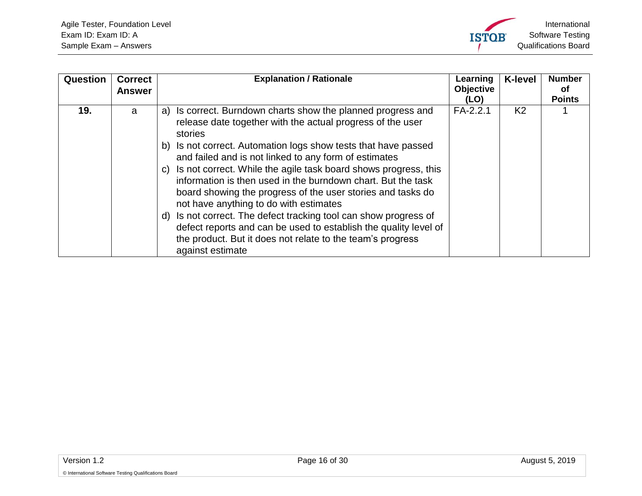<span id="page-15-0"></span>

| <b>Question</b> | <b>Correct</b><br><b>Answer</b> | <b>Explanation / Rationale</b>                                                                                                                                                                                                                                                                                                                                                                                                                                                                                                                                                                                                                                                                                                                        | Learning<br><b>Objective</b><br>(LO) | <b>K-level</b> | <b>Number</b><br>0t<br><b>Points</b> |
|-----------------|---------------------------------|-------------------------------------------------------------------------------------------------------------------------------------------------------------------------------------------------------------------------------------------------------------------------------------------------------------------------------------------------------------------------------------------------------------------------------------------------------------------------------------------------------------------------------------------------------------------------------------------------------------------------------------------------------------------------------------------------------------------------------------------------------|--------------------------------------|----------------|--------------------------------------|
| 19.             | a                               | Is correct. Burndown charts show the planned progress and<br>a)<br>release date together with the actual progress of the user<br>stories<br>Is not correct. Automation logs show tests that have passed<br>b)<br>and failed and is not linked to any form of estimates<br>Is not correct. While the agile task board shows progress, this<br>C)<br>information is then used in the burndown chart. But the task<br>board showing the progress of the user stories and tasks do<br>not have anything to do with estimates<br>Is not correct. The defect tracking tool can show progress of<br>d)<br>defect reports and can be used to establish the quality level of<br>the product. But it does not relate to the team's progress<br>against estimate | $FA-2.2.1$                           | K <sub>2</sub> |                                      |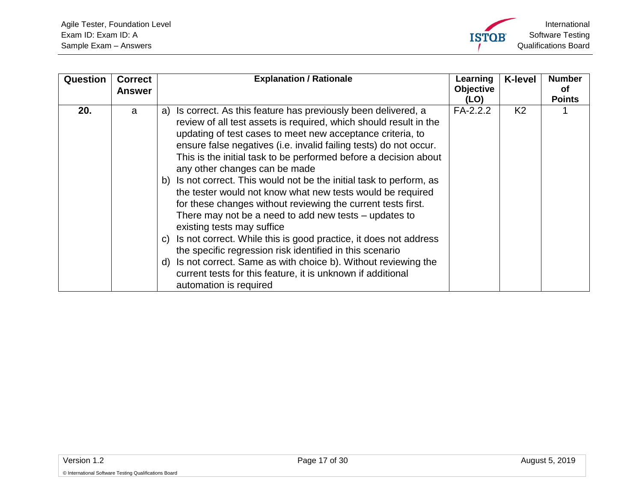<span id="page-16-0"></span>

| Question | <b>Correct</b><br><b>Answer</b> | <b>Explanation / Rationale</b>                                                                                                                                                                                                                                                                                                                                                                                                                                                                                                                                                                                                                                                                                                                                                                                                                                                                                                                                                       | Learning<br><b>Objective</b><br>(LO) | <b>K-level</b> | <b>Number</b><br>οf<br><b>Points</b> |
|----------|---------------------------------|--------------------------------------------------------------------------------------------------------------------------------------------------------------------------------------------------------------------------------------------------------------------------------------------------------------------------------------------------------------------------------------------------------------------------------------------------------------------------------------------------------------------------------------------------------------------------------------------------------------------------------------------------------------------------------------------------------------------------------------------------------------------------------------------------------------------------------------------------------------------------------------------------------------------------------------------------------------------------------------|--------------------------------------|----------------|--------------------------------------|
| 20.      | a                               | Is correct. As this feature has previously been delivered, a<br>a)<br>review of all test assets is required, which should result in the<br>updating of test cases to meet new acceptance criteria, to<br>ensure false negatives (i.e. invalid failing tests) do not occur.<br>This is the initial task to be performed before a decision about<br>any other changes can be made<br>b) Is not correct. This would not be the initial task to perform, as<br>the tester would not know what new tests would be required<br>for these changes without reviewing the current tests first.<br>There may not be a need to add new tests $-$ updates to<br>existing tests may suffice<br>Is not correct. While this is good practice, it does not address<br>C)<br>the specific regression risk identified in this scenario<br>Is not correct. Same as with choice b). Without reviewing the<br>d)<br>current tests for this feature, it is unknown if additional<br>automation is required | $FA-2.2.2$                           | K <sub>2</sub> |                                      |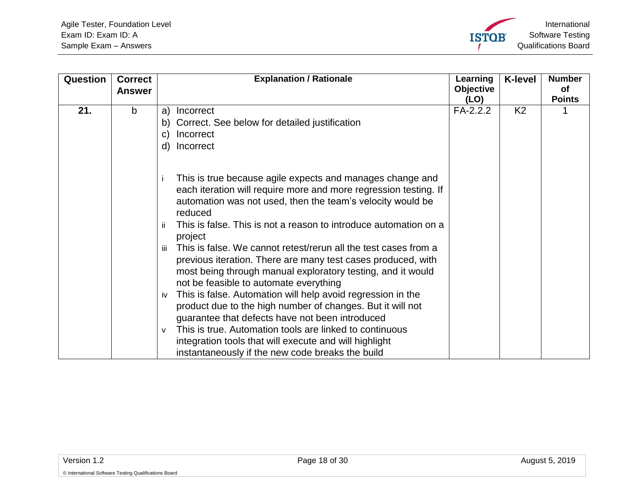<span id="page-17-0"></span>

| Question | <b>Correct</b><br><b>Answer</b> | <b>Explanation / Rationale</b>                                                                                                                                                                                                                                                                                                                                                                                                                                            | Learning<br>Objective<br>(LO) | <b>K-level</b> | <b>Number</b><br><b>of</b><br><b>Points</b> |
|----------|---------------------------------|---------------------------------------------------------------------------------------------------------------------------------------------------------------------------------------------------------------------------------------------------------------------------------------------------------------------------------------------------------------------------------------------------------------------------------------------------------------------------|-------------------------------|----------------|---------------------------------------------|
| 21.      | b                               | a)<br>Incorrect<br>b) Correct. See below for detailed justification<br>Incorrect<br>C)<br>Incorrect<br>d)                                                                                                                                                                                                                                                                                                                                                                 | $FA-2.2.2$                    | K <sub>2</sub> |                                             |
|          |                                 | This is true because agile expects and manages change and<br>each iteration will require more and more regression testing. If<br>automation was not used, then the team's velocity would be<br>reduced<br>This is false. This is not a reason to introduce automation on a<br>ïi<br>project<br>This is false. We cannot retest/rerun all the test cases from a<br>iii<br>previous iteration. There are many test cases produced, with                                     |                               |                |                                             |
|          |                                 | most being through manual exploratory testing, and it would<br>not be feasible to automate everything<br>This is false. Automation will help avoid regression in the<br>iv<br>product due to the high number of changes. But it will not<br>guarantee that defects have not been introduced<br>This is true. Automation tools are linked to continuous<br>v<br>integration tools that will execute and will highlight<br>instantaneously if the new code breaks the build |                               |                |                                             |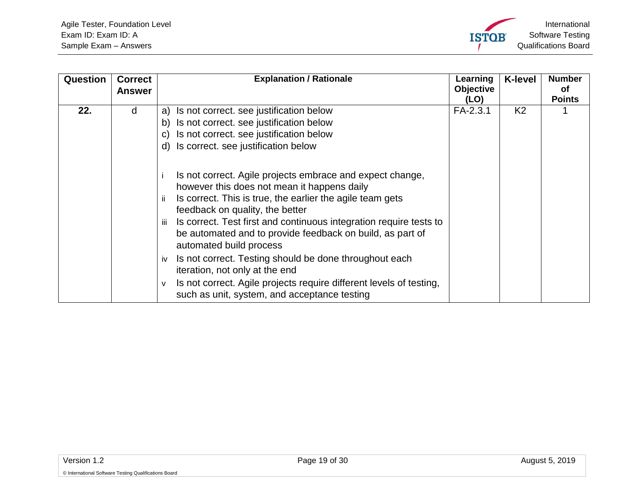<span id="page-18-0"></span>

| <b>Question</b> | <b>Correct</b><br><b>Answer</b> | <b>Explanation / Rationale</b>                                                                                                                                                                                                                                                                                                                                                                                                                                                                                                                                                                                      | Learning<br>Objective<br>(LO) | <b>K-level</b> | <b>Number</b><br>Οf<br><b>Points</b> |
|-----------------|---------------------------------|---------------------------------------------------------------------------------------------------------------------------------------------------------------------------------------------------------------------------------------------------------------------------------------------------------------------------------------------------------------------------------------------------------------------------------------------------------------------------------------------------------------------------------------------------------------------------------------------------------------------|-------------------------------|----------------|--------------------------------------|
| 22.             | d                               | Is not correct. see justification below<br>a)<br>Is not correct. see justification below<br>b)<br>Is not correct. see justification below<br>C)<br>Is correct. see justification below<br>d)                                                                                                                                                                                                                                                                                                                                                                                                                        | FA-2.3.1                      | K <sub>2</sub> |                                      |
|                 |                                 | Is not correct. Agile projects embrace and expect change,<br>however this does not mean it happens daily<br>Is correct. This is true, the earlier the agile team gets<br>ii.<br>feedback on quality, the better<br>Is correct. Test first and continuous integration require tests to<br>iii.<br>be automated and to provide feedback on build, as part of<br>automated build process<br>Is not correct. Testing should be done throughout each<br>iv<br>iteration, not only at the end<br>Is not correct. Agile projects require different levels of testing,<br>v<br>such as unit, system, and acceptance testing |                               |                |                                      |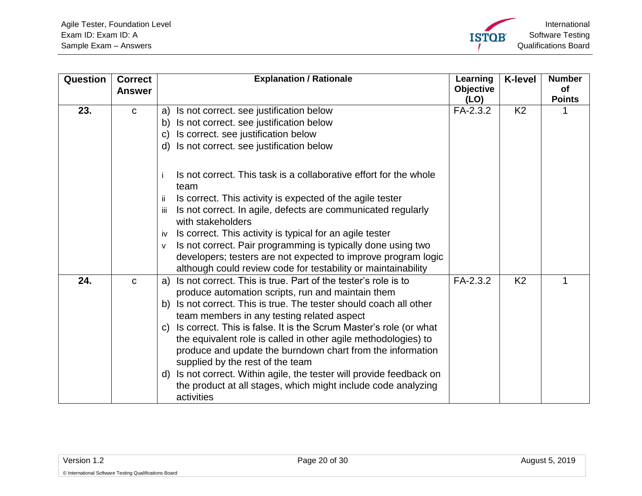<span id="page-19-1"></span><span id="page-19-0"></span>

| Question | <b>Correct</b> | <b>Explanation / Rationale</b>                                                         | Learning         | <b>K-level</b> | <b>Number</b> |
|----------|----------------|----------------------------------------------------------------------------------------|------------------|----------------|---------------|
|          | <b>Answer</b>  |                                                                                        | <b>Objective</b> |                | of            |
|          |                |                                                                                        | (LO)             |                | <b>Points</b> |
| 23.      | $\mathbf{C}$   | Is not correct. see justification below<br>a)                                          | FA-2.3.2         | K <sub>2</sub> |               |
|          |                | Is not correct. see justification below<br>b)                                          |                  |                |               |
|          |                | Is correct. see justification below<br>$\mathbf{C}$                                    |                  |                |               |
|          |                | Is not correct. see justification below<br>d)                                          |                  |                |               |
|          |                | Is not correct. This task is a collaborative effort for the whole<br>team              |                  |                |               |
|          |                | Is correct. This activity is expected of the agile tester<br>-ii                       |                  |                |               |
|          |                | Is not correct. In agile, defects are communicated regularly<br>Ш<br>with stakeholders |                  |                |               |
|          |                | Is correct. This activity is typical for an agile tester<br>iv                         |                  |                |               |
|          |                | Is not correct. Pair programming is typically done using two<br>$\mathsf{v}$           |                  |                |               |
|          |                | developers; testers are not expected to improve program logic                          |                  |                |               |
|          |                | although could review code for testability or maintainability                          |                  |                |               |
| 24.      | $\mathbf C$    | Is not correct. This is true. Part of the tester's role is to<br>a)                    | FA-2.3.2         | K <sub>2</sub> |               |
|          |                | produce automation scripts, run and maintain them                                      |                  |                |               |
|          |                | Is not correct. This is true. The tester should coach all other<br>b)                  |                  |                |               |
|          |                | team members in any testing related aspect                                             |                  |                |               |
|          |                | Is correct. This is false. It is the Scrum Master's role (or what<br>$\mathsf{C}$      |                  |                |               |
|          |                | the equivalent role is called in other agile methodologies) to                         |                  |                |               |
|          |                | produce and update the burndown chart from the information                             |                  |                |               |
|          |                | supplied by the rest of the team                                                       |                  |                |               |
|          |                | Is not correct. Within agile, the tester will provide feedback on<br>d)                |                  |                |               |
|          |                | the product at all stages, which might include code analyzing                          |                  |                |               |
|          |                | activities                                                                             |                  |                |               |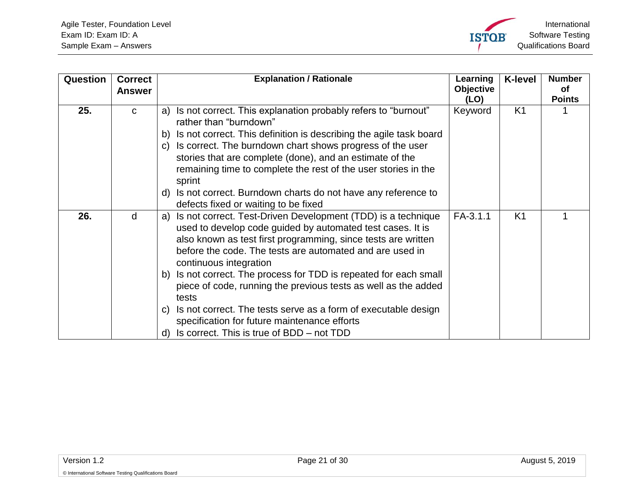

<span id="page-20-1"></span><span id="page-20-0"></span>

| Question | <b>Correct</b><br><b>Answer</b> | <b>Explanation / Rationale</b>                                                                                                                                                                                                                                                                                                                                                                                                                                                                                                                                                                                        | Learning<br>Objective<br>(LO) | <b>K-level</b> | <b>Number</b><br>οf<br><b>Points</b> |
|----------|---------------------------------|-----------------------------------------------------------------------------------------------------------------------------------------------------------------------------------------------------------------------------------------------------------------------------------------------------------------------------------------------------------------------------------------------------------------------------------------------------------------------------------------------------------------------------------------------------------------------------------------------------------------------|-------------------------------|----------------|--------------------------------------|
| 25.      | $\mathbf{C}$                    | Is not correct. This explanation probably refers to "burnout"<br>a)<br>rather than "burndown"<br>Is not correct. This definition is describing the agile task board<br>b)<br>Is correct. The burndown chart shows progress of the user<br>C)<br>stories that are complete (done), and an estimate of the<br>remaining time to complete the rest of the user stories in the<br>sprint<br>Is not correct. Burndown charts do not have any reference to<br>d)<br>defects fixed or waiting to be fixed                                                                                                                    | Keyword                       | K <sub>1</sub> |                                      |
| 26.      | d                               | Is not correct. Test-Driven Development (TDD) is a technique<br>a)<br>used to develop code guided by automated test cases. It is<br>also known as test first programming, since tests are written<br>before the code. The tests are automated and are used in<br>continuous integration<br>Is not correct. The process for TDD is repeated for each small<br>b)<br>piece of code, running the previous tests as well as the added<br>tests<br>Is not correct. The tests serve as a form of executable design<br>C)<br>specification for future maintenance efforts<br>Is correct. This is true of BDD – not TDD<br>d) | $FA-3.1.1$                    | K <sub>1</sub> |                                      |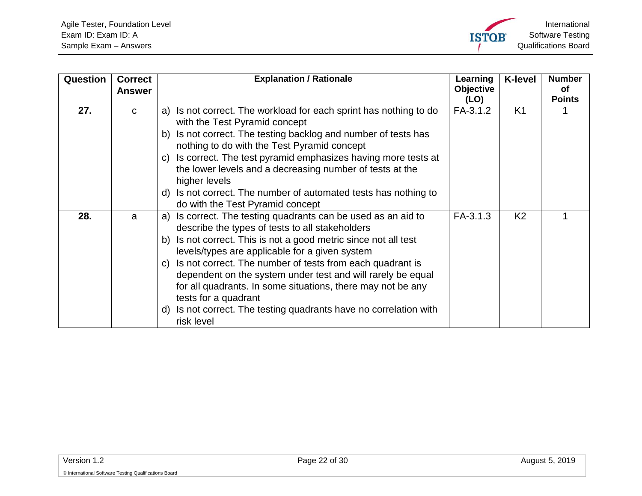<span id="page-21-1"></span><span id="page-21-0"></span>

| Question | <b>Correct</b><br><b>Answer</b> | <b>Explanation / Rationale</b>                                                                                                                                                                                                                                                                                                                                                                                                                                                                                                                             | Learning<br>Objective<br>(LO) | <b>K-level</b> | <b>Number</b><br>Οf<br><b>Points</b> |
|----------|---------------------------------|------------------------------------------------------------------------------------------------------------------------------------------------------------------------------------------------------------------------------------------------------------------------------------------------------------------------------------------------------------------------------------------------------------------------------------------------------------------------------------------------------------------------------------------------------------|-------------------------------|----------------|--------------------------------------|
| 27.      | $\mathbf{C}$                    | Is not correct. The workload for each sprint has nothing to do<br>a)<br>with the Test Pyramid concept<br>Is not correct. The testing backlog and number of tests has<br>b)<br>nothing to do with the Test Pyramid concept<br>Is correct. The test pyramid emphasizes having more tests at<br>C)<br>the lower levels and a decreasing number of tests at the<br>higher levels<br>Is not correct. The number of automated tests has nothing to<br>d)<br>do with the Test Pyramid concept                                                                     | FA-3.1.2                      | K <sub>1</sub> |                                      |
| 28.      | a                               | Is correct. The testing quadrants can be used as an aid to<br>a)<br>describe the types of tests to all stakeholders<br>Is not correct. This is not a good metric since not all test<br>b)<br>levels/types are applicable for a given system<br>Is not correct. The number of tests from each quadrant is<br>C)<br>dependent on the system under test and will rarely be equal<br>for all quadrants. In some situations, there may not be any<br>tests for a quadrant<br>Is not correct. The testing quadrants have no correlation with<br>d)<br>risk level | FA-3.1.3                      | K <sub>2</sub> |                                      |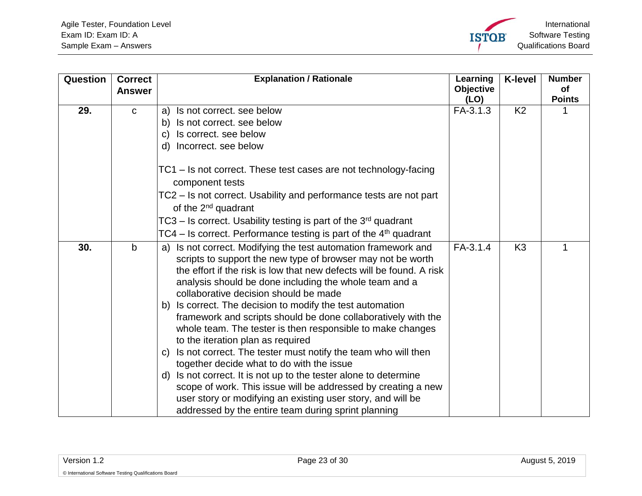<span id="page-22-1"></span><span id="page-22-0"></span>

| Question | <b>Correct</b><br><b>Answer</b> | <b>Explanation / Rationale</b>                                                                                                                                                                                                                                                                                                                                                                                                                                                                                                            | Learning<br><b>Objective</b> | <b>K-level</b> | <b>Number</b><br>of |
|----------|---------------------------------|-------------------------------------------------------------------------------------------------------------------------------------------------------------------------------------------------------------------------------------------------------------------------------------------------------------------------------------------------------------------------------------------------------------------------------------------------------------------------------------------------------------------------------------------|------------------------------|----------------|---------------------|
| 29.      | $\mathbf C$                     | Is not correct. see below<br>a)                                                                                                                                                                                                                                                                                                                                                                                                                                                                                                           | (LO)<br>FA-3.1.3             | K <sub>2</sub> | <b>Points</b>       |
|          |                                 | b) Is not correct. see below                                                                                                                                                                                                                                                                                                                                                                                                                                                                                                              |                              |                |                     |
|          |                                 | Is correct. see below<br>C)                                                                                                                                                                                                                                                                                                                                                                                                                                                                                                               |                              |                |                     |
|          |                                 | d) Incorrect. see below                                                                                                                                                                                                                                                                                                                                                                                                                                                                                                                   |                              |                |                     |
|          |                                 | TC1 – Is not correct. These test cases are not technology-facing<br>component tests                                                                                                                                                                                                                                                                                                                                                                                                                                                       |                              |                |                     |
|          |                                 | TC2 – Is not correct. Usability and performance tests are not part<br>of the 2 <sup>nd</sup> quadrant                                                                                                                                                                                                                                                                                                                                                                                                                                     |                              |                |                     |
|          |                                 | $TC3 - Is correct.$ Usability testing is part of the $3rd$ quadrant                                                                                                                                                                                                                                                                                                                                                                                                                                                                       |                              |                |                     |
|          |                                 | TC4 – Is correct. Performance testing is part of the $4th$ quadrant                                                                                                                                                                                                                                                                                                                                                                                                                                                                       |                              |                |                     |
| 30.      | $\mathbf b$                     | a) Is not correct. Modifying the test automation framework and<br>scripts to support the new type of browser may not be worth<br>the effort if the risk is low that new defects will be found. A risk<br>analysis should be done including the whole team and a<br>collaborative decision should be made<br>b) Is correct. The decision to modify the test automation<br>framework and scripts should be done collaboratively with the<br>whole team. The tester is then responsible to make changes<br>to the iteration plan as required | FA-3.1.4                     | K <sub>3</sub> |                     |
|          |                                 | Is not correct. The tester must notify the team who will then<br>C)<br>together decide what to do with the issue<br>Is not correct. It is not up to the tester alone to determine<br>d)<br>scope of work. This issue will be addressed by creating a new<br>user story or modifying an existing user story, and will be                                                                                                                                                                                                                   |                              |                |                     |
|          |                                 | addressed by the entire team during sprint planning                                                                                                                                                                                                                                                                                                                                                                                                                                                                                       |                              |                |                     |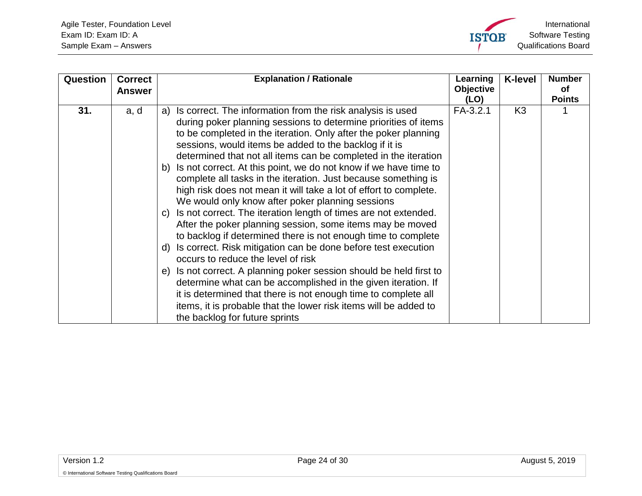<span id="page-23-0"></span>

| Question | <b>Correct</b><br><b>Answer</b> | <b>Explanation / Rationale</b>                                                                                                                                                                                                                                                                                                                                                                                                                                                                                                                                                                                                                                                                                                                                                                                                                                                                                                                                                                                                                                                                                                                                                                                                                            | Learning<br>Objective<br>(LO) | <b>K-level</b> | <b>Number</b><br><b>of</b><br><b>Points</b> |
|----------|---------------------------------|-----------------------------------------------------------------------------------------------------------------------------------------------------------------------------------------------------------------------------------------------------------------------------------------------------------------------------------------------------------------------------------------------------------------------------------------------------------------------------------------------------------------------------------------------------------------------------------------------------------------------------------------------------------------------------------------------------------------------------------------------------------------------------------------------------------------------------------------------------------------------------------------------------------------------------------------------------------------------------------------------------------------------------------------------------------------------------------------------------------------------------------------------------------------------------------------------------------------------------------------------------------|-------------------------------|----------------|---------------------------------------------|
| 31.      | a, d                            | Is correct. The information from the risk analysis is used<br>a)<br>during poker planning sessions to determine priorities of items<br>to be completed in the iteration. Only after the poker planning<br>sessions, would items be added to the backlog if it is<br>determined that not all items can be completed in the iteration<br>Is not correct. At this point, we do not know if we have time to<br>b)<br>complete all tasks in the iteration. Just because something is<br>high risk does not mean it will take a lot of effort to complete.<br>We would only know after poker planning sessions<br>Is not correct. The iteration length of times are not extended.<br>$\mathsf{C}$<br>After the poker planning session, some items may be moved<br>to backlog if determined there is not enough time to complete<br>Is correct. Risk mitigation can be done before test execution<br>d)<br>occurs to reduce the level of risk<br>Is not correct. A planning poker session should be held first to<br>e)<br>determine what can be accomplished in the given iteration. If<br>it is determined that there is not enough time to complete all<br>items, it is probable that the lower risk items will be added to<br>the backlog for future sprints | $FA-3.2.1$                    | K <sub>3</sub> |                                             |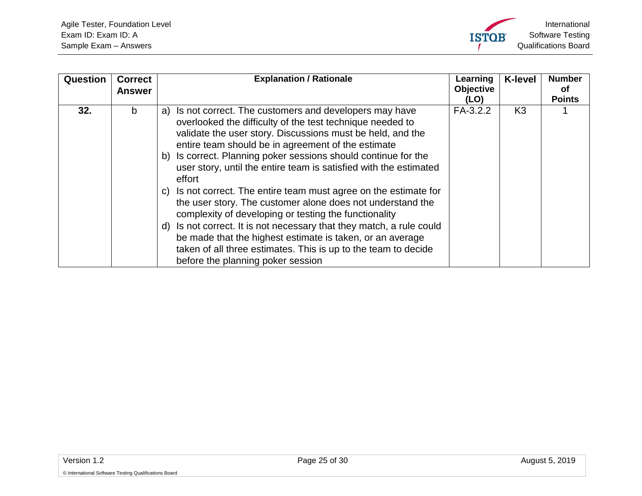<span id="page-24-0"></span>

| Question | <b>Correct</b><br><b>Answer</b> | <b>Explanation / Rationale</b>                                                                                                                                                                                                                                                                                                                                                                                                                                                                                                                                                                                                                                                                                                                                                                                                           | Learning<br><b>Objective</b><br>(LO) | <b>K-level</b> | <b>Number</b><br>0f<br><b>Points</b> |
|----------|---------------------------------|------------------------------------------------------------------------------------------------------------------------------------------------------------------------------------------------------------------------------------------------------------------------------------------------------------------------------------------------------------------------------------------------------------------------------------------------------------------------------------------------------------------------------------------------------------------------------------------------------------------------------------------------------------------------------------------------------------------------------------------------------------------------------------------------------------------------------------------|--------------------------------------|----------------|--------------------------------------|
| 32.      | b                               | a) Is not correct. The customers and developers may have<br>overlooked the difficulty of the test technique needed to<br>validate the user story. Discussions must be held, and the<br>entire team should be in agreement of the estimate<br>Is correct. Planning poker sessions should continue for the<br>b)<br>user story, until the entire team is satisfied with the estimated<br>effort<br>c) Is not correct. The entire team must agree on the estimate for<br>the user story. The customer alone does not understand the<br>complexity of developing or testing the functionality<br>Is not correct. It is not necessary that they match, a rule could<br>d)<br>be made that the highest estimate is taken, or an average<br>taken of all three estimates. This is up to the team to decide<br>before the planning poker session | FA-3.2.2                             | K <sub>3</sub> |                                      |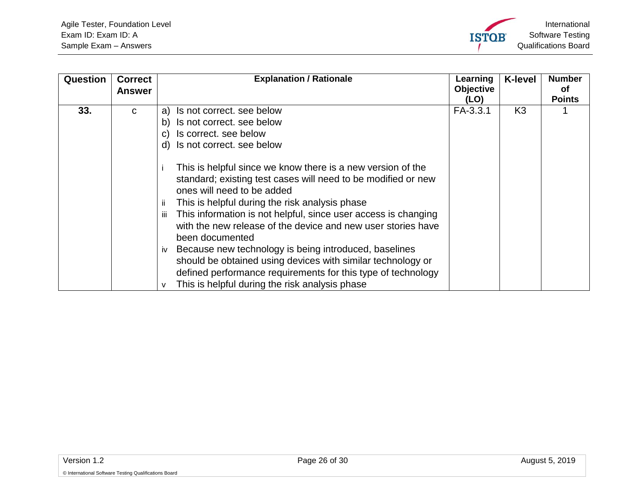<span id="page-25-0"></span>

| Question | <b>Correct</b><br>Answer | <b>Explanation / Rationale</b>                                                                                                                                                                                                                                                                                                                                                                                                                                                                                                                                                                                            | Learning<br><b>Objective</b><br>(LO) | <b>K-level</b> | <b>Number</b><br>οf<br><b>Points</b> |
|----------|--------------------------|---------------------------------------------------------------------------------------------------------------------------------------------------------------------------------------------------------------------------------------------------------------------------------------------------------------------------------------------------------------------------------------------------------------------------------------------------------------------------------------------------------------------------------------------------------------------------------------------------------------------------|--------------------------------------|----------------|--------------------------------------|
| 33.      | C.                       | Is not correct. see below<br>a)<br>Is not correct. see below<br>b)<br>Is correct. see below<br>C)<br>Is not correct. see below<br>d)                                                                                                                                                                                                                                                                                                                                                                                                                                                                                      | FA-3.3.1                             | K <sub>3</sub> |                                      |
|          |                          | This is helpful since we know there is a new version of the<br>standard; existing test cases will need to be modified or new<br>ones will need to be added<br>This is helpful during the risk analysis phase<br>This information is not helpful, since user access is changing<br>iii.<br>with the new release of the device and new user stories have<br>been documented<br>Because new technology is being introduced, baselines<br>iv<br>should be obtained using devices with similar technology or<br>defined performance requirements for this type of technology<br>This is helpful during the risk analysis phase |                                      |                |                                      |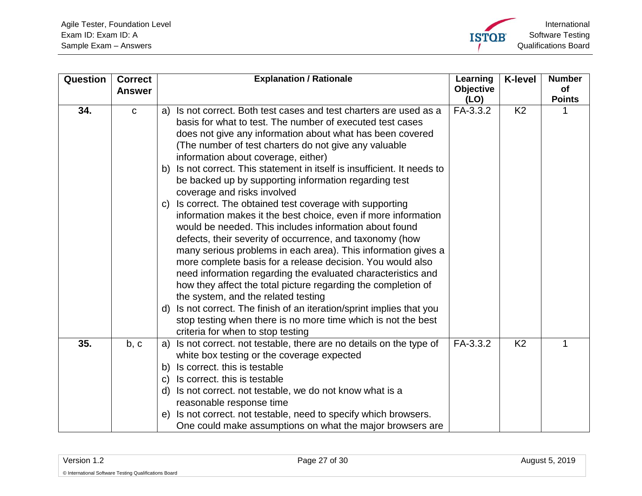<span id="page-26-1"></span><span id="page-26-0"></span>

| Question | <b>Correct</b> | <b>Explanation / Rationale</b>                                                                                                                                                                                                                                                                                                                                                                                                                                                                                                                                                                                                                                                                                                                                                                                                                                                                                                                                                                                                                                                                                                                                                     | Learning                 | <b>K-level</b> | <b>Number</b>       |
|----------|----------------|------------------------------------------------------------------------------------------------------------------------------------------------------------------------------------------------------------------------------------------------------------------------------------------------------------------------------------------------------------------------------------------------------------------------------------------------------------------------------------------------------------------------------------------------------------------------------------------------------------------------------------------------------------------------------------------------------------------------------------------------------------------------------------------------------------------------------------------------------------------------------------------------------------------------------------------------------------------------------------------------------------------------------------------------------------------------------------------------------------------------------------------------------------------------------------|--------------------------|----------------|---------------------|
|          | <b>Answer</b>  |                                                                                                                                                                                                                                                                                                                                                                                                                                                                                                                                                                                                                                                                                                                                                                                                                                                                                                                                                                                                                                                                                                                                                                                    | <b>Objective</b><br>(LO) |                | of<br><b>Points</b> |
| 34.      | $\mathbf C$    | Is not correct. Both test cases and test charters are used as a<br>a)<br>basis for what to test. The number of executed test cases<br>does not give any information about what has been covered<br>(The number of test charters do not give any valuable<br>information about coverage, either)<br>Is not correct. This statement in itself is insufficient. It needs to<br>b)<br>be backed up by supporting information regarding test<br>coverage and risks involved<br>Is correct. The obtained test coverage with supporting<br>C)<br>information makes it the best choice, even if more information<br>would be needed. This includes information about found<br>defects, their severity of occurrence, and taxonomy (how<br>many serious problems in each area). This information gives a<br>more complete basis for a release decision. You would also<br>need information regarding the evaluated characteristics and<br>how they affect the total picture regarding the completion of<br>the system, and the related testing<br>Is not correct. The finish of an iteration/sprint implies that you<br>d)<br>stop testing when there is no more time which is not the best | FA-3.3.2                 | K <sub>2</sub> |                     |
| 35.      | b, c           | criteria for when to stop testing<br>Is not correct. not testable, there are no details on the type of<br>a)<br>white box testing or the coverage expected<br>Is correct. this is testable<br>b)<br>Is correct. this is testable<br>C)                                                                                                                                                                                                                                                                                                                                                                                                                                                                                                                                                                                                                                                                                                                                                                                                                                                                                                                                             | FA-3.3.2                 | K <sub>2</sub> | 1                   |
|          |                | Is not correct. not testable, we do not know what is a<br>d)<br>reasonable response time<br>Is not correct. not testable, need to specify which browsers.<br>e)<br>One could make assumptions on what the major browsers are                                                                                                                                                                                                                                                                                                                                                                                                                                                                                                                                                                                                                                                                                                                                                                                                                                                                                                                                                       |                          |                |                     |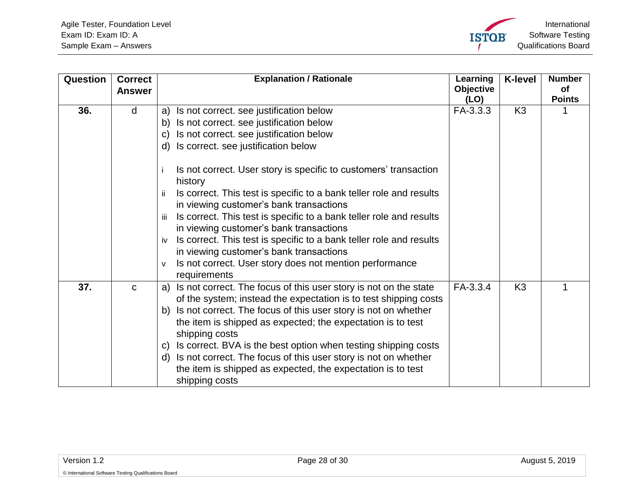<span id="page-27-1"></span><span id="page-27-0"></span>

| Question | <b>Correct</b> | <b>Explanation / Rationale</b>                                                                                                      | Learning<br><b>Objective</b> | <b>K-level</b> | <b>Number</b><br><b>of</b> |
|----------|----------------|-------------------------------------------------------------------------------------------------------------------------------------|------------------------------|----------------|----------------------------|
|          | <b>Answer</b>  |                                                                                                                                     | (LO)                         |                | <b>Points</b>              |
| 36.      | d              | a) Is not correct. see justification below                                                                                          | FA-3.3.3                     | K <sub>3</sub> |                            |
|          |                | Is not correct. see justification below<br>b)                                                                                       |                              |                |                            |
|          |                | Is not correct. see justification below<br>C)                                                                                       |                              |                |                            |
|          |                | Is correct. see justification below<br>d)                                                                                           |                              |                |                            |
|          |                | Is not correct. User story is specific to customers' transaction<br>history                                                         |                              |                |                            |
|          |                | Is correct. This test is specific to a bank teller role and results<br>-ii<br>in viewing customer's bank transactions               |                              |                |                            |
|          |                | Is correct. This test is specific to a bank teller role and results<br>-iii<br>in viewing customer's bank transactions              |                              |                |                            |
|          |                | Is correct. This test is specific to a bank teller role and results<br>iv<br>in viewing customer's bank transactions                |                              |                |                            |
|          |                | Is not correct. User story does not mention performance<br>V<br>requirements                                                        |                              |                |                            |
| 37.      | $\mathbf C$    | Is not correct. The focus of this user story is not on the state<br>a)                                                              | FA-3.3.4                     | K <sub>3</sub> | 1                          |
|          |                | of the system; instead the expectation is to test shipping costs                                                                    |                              |                |                            |
|          |                | Is not correct. The focus of this user story is not on whether<br>b)<br>the item is shipped as expected; the expectation is to test |                              |                |                            |
|          |                | shipping costs                                                                                                                      |                              |                |                            |
|          |                | Is correct. BVA is the best option when testing shipping costs<br>C)                                                                |                              |                |                            |
|          |                | Is not correct. The focus of this user story is not on whether<br>d)                                                                |                              |                |                            |
|          |                | the item is shipped as expected, the expectation is to test<br>shipping costs                                                       |                              |                |                            |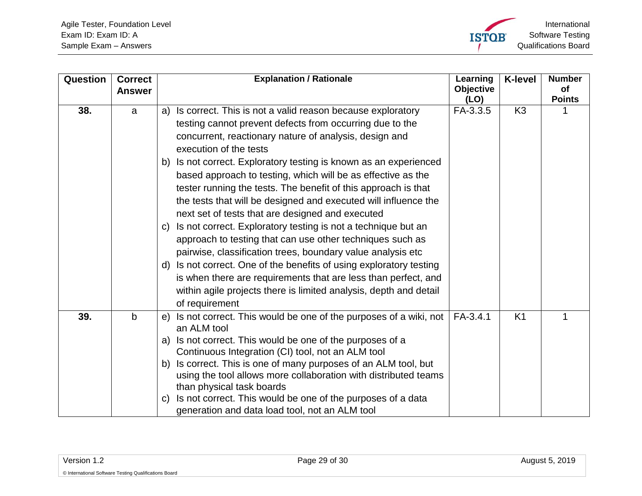<span id="page-28-1"></span><span id="page-28-0"></span>

| Question | <b>Correct</b><br><b>Answer</b> | <b>Explanation / Rationale</b>                                                                                                     | Learning<br><b>Objective</b> | <b>K-level</b> | <b>Number</b><br>of<br><b>Points</b> |
|----------|---------------------------------|------------------------------------------------------------------------------------------------------------------------------------|------------------------------|----------------|--------------------------------------|
| 38.      | a                               | a) Is correct. This is not a valid reason because exploratory                                                                      | (LO)<br>FA-3.3.5             | K <sub>3</sub> |                                      |
|          |                                 | testing cannot prevent defects from occurring due to the<br>concurrent, reactionary nature of analysis, design and                 |                              |                |                                      |
|          |                                 | execution of the tests                                                                                                             |                              |                |                                      |
|          |                                 | b) Is not correct. Exploratory testing is known as an experienced                                                                  |                              |                |                                      |
|          |                                 | based approach to testing, which will be as effective as the                                                                       |                              |                |                                      |
|          |                                 | tester running the tests. The benefit of this approach is that                                                                     |                              |                |                                      |
|          |                                 | the tests that will be designed and executed will influence the                                                                    |                              |                |                                      |
|          |                                 | next set of tests that are designed and executed                                                                                   |                              |                |                                      |
|          |                                 | Is not correct. Exploratory testing is not a technique but an<br>C)                                                                |                              |                |                                      |
|          |                                 | approach to testing that can use other techniques such as                                                                          |                              |                |                                      |
|          |                                 | pairwise, classification trees, boundary value analysis etc<br>d) Is not correct. One of the benefits of using exploratory testing |                              |                |                                      |
|          |                                 | is when there are requirements that are less than perfect, and                                                                     |                              |                |                                      |
|          |                                 | within agile projects there is limited analysis, depth and detail                                                                  |                              |                |                                      |
|          |                                 | of requirement                                                                                                                     |                              |                |                                      |
| 39.      | $\mathsf{b}$                    | Is not correct. This would be one of the purposes of a wiki, not<br>e)<br>an ALM tool                                              | $FA-3.4.1$                   | K <sub>1</sub> |                                      |
|          |                                 | Is not correct. This would be one of the purposes of a<br>a)                                                                       |                              |                |                                      |
|          |                                 | Continuous Integration (CI) tool, not an ALM tool                                                                                  |                              |                |                                      |
|          |                                 | b) Is correct. This is one of many purposes of an ALM tool, but                                                                    |                              |                |                                      |
|          |                                 | using the tool allows more collaboration with distributed teams<br>than physical task boards                                       |                              |                |                                      |
|          |                                 | Is not correct. This would be one of the purposes of a data<br>C)                                                                  |                              |                |                                      |
|          |                                 | generation and data load tool, not an ALM tool                                                                                     |                              |                |                                      |